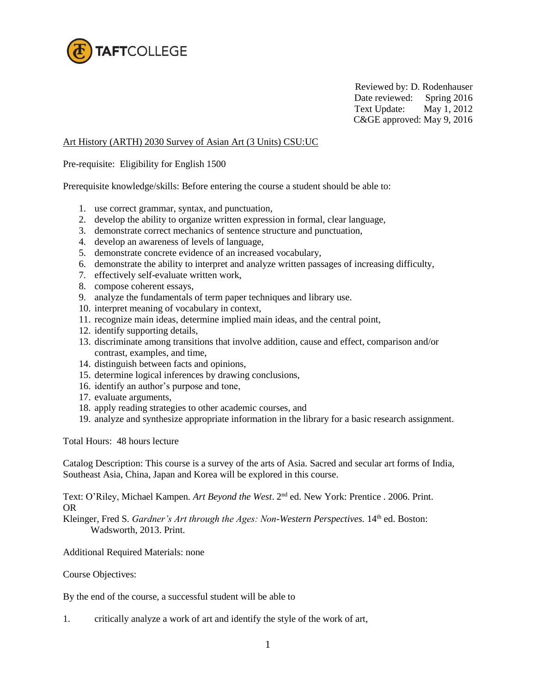

Reviewed by: D. Rodenhauser Date reviewed: Spring 2016 Text Update: May 1, 2012 C&GE approved: May 9, 2016

## Art History (ARTH) 2030 Survey of Asian Art (3 Units) CSU:UC

Pre-requisite: Eligibility for English 1500

Prerequisite knowledge/skills: Before entering the course a student should be able to:

- 1. use correct grammar, syntax, and punctuation,
- 2. develop the ability to organize written expression in formal, clear language,
- 3. demonstrate correct mechanics of sentence structure and punctuation,
- 4. develop an awareness of levels of language,
- 5. demonstrate concrete evidence of an increased vocabulary,
- 6. demonstrate the ability to interpret and analyze written passages of increasing difficulty,
- 7. effectively self-evaluate written work,
- 8. compose coherent essays,
- 9. analyze the fundamentals of term paper techniques and library use.
- 10. interpret meaning of vocabulary in context,
- 11. recognize main ideas, determine implied main ideas, and the central point,
- 12. identify supporting details,
- 13. discriminate among transitions that involve addition, cause and effect, comparison and/or contrast, examples, and time,
- 14. distinguish between facts and opinions,
- 15. determine logical inferences by drawing conclusions,
- 16. identify an author's purpose and tone,
- 17. evaluate arguments,
- 18. apply reading strategies to other academic courses, and
- 19. analyze and synthesize appropriate information in the library for a basic research assignment.

Total Hours: 48 hours lecture

Catalog Description: This course is a survey of the arts of Asia. Sacred and secular art forms of India, Southeast Asia, China, Japan and Korea will be explored in this course.

Text: O'Riley, Michael Kampen. Art Beyond the West. 2<sup>nd</sup> ed. New York: Prentice . 2006. Print. OR

Kleinger, Fred S. *Gardner's Art through the Ages: Non-Western Perspectives*. 14<sup>th</sup> ed. Boston: Wadsworth, 2013. Print.

Additional Required Materials: none

Course Objectives:

By the end of the course, a successful student will be able to

1. critically analyze a work of art and identify the style of the work of art,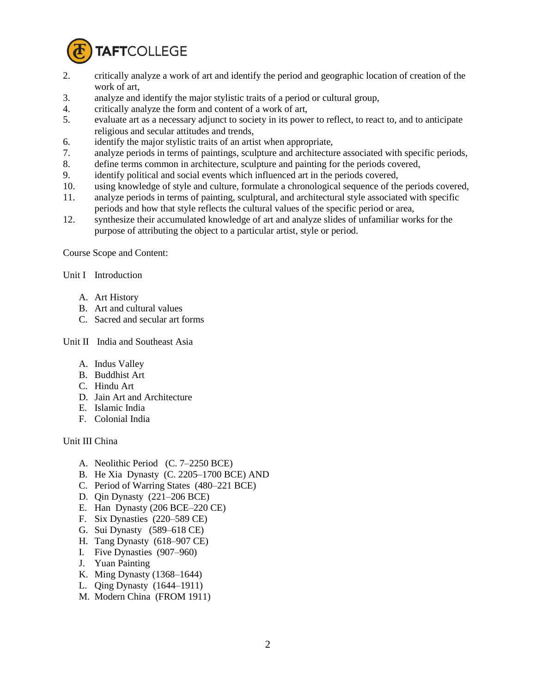

- 2. critically analyze a work of art and identify the period and geographic location of creation of the work of art,
- 3. analyze and identify the major stylistic traits of a period or cultural group,
- 4. critically analyze the form and content of a work of art,
- 5. evaluate art as a necessary adjunct to society in its power to reflect, to react to, and to anticipate religious and secular attitudes and trends,
- 6. identify the major stylistic traits of an artist when appropriate,
- 7. analyze periods in terms of paintings, sculpture and architecture associated with specific periods,
- 8. define terms common in architecture, sculpture and painting for the periods covered,
- 9. identify political and social events which influenced art in the periods covered,
- 10. using knowledge of style and culture, formulate a chronological sequence of the periods covered,
- 11. analyze periods in terms of painting, sculptural, and architectural style associated with specific periods and how that style reflects the cultural values of the specific period or area,
- 12. synthesize their accumulated knowledge of art and analyze slides of unfamiliar works for the purpose of attributing the object to a particular artist, style or period.

Course Scope and Content:

Unit I Introduction

- A. Art History
- B. Art and cultural values
- C. Sacred and secular art forms

Unit II India and Southeast Asia

- A. Indus Valley
- B. Buddhist Art
- C. Hindu Art
- D. Jain Art and Architecture
- E. Islamic India
- F. Colonial India

Unit III China

- A. Neolithic Period (C. 7–2250 BCE)
- B. He Xia Dynasty (C. 2205–1700 BCE) AND
- C. Period of Warring States (480–221 BCE)
- D. Qin Dynasty (221–206 BCE)
- E. Han Dynasty (206 BCE–220 CE)
- F. Six Dynasties (220–589 CE)
- G. Sui Dynasty (589–618 CE)
- H. Tang Dynasty (618–907 CE)
- I. Five Dynasties (907–960)
- J. Yuan Painting
- K. Ming Dynasty (1368–1644)
- L. Qing Dynasty (1644–1911)
- M. Modern China (FROM 1911)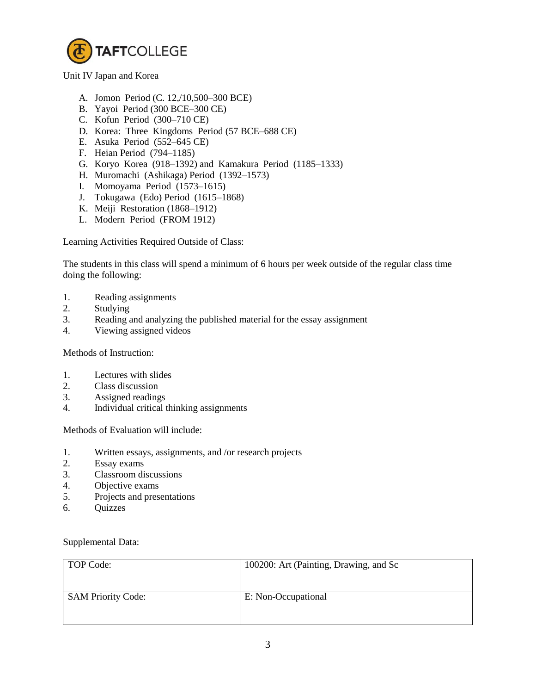

Unit IV Japan and Korea

- A. Jomon Period (C. 12,/10,500–300 BCE)
- B. Yayoi Period (300 BCE–300 CE)
- C. Kofun Period (300–710 CE)
- D. Korea: Three Kingdoms Period (57 BCE–688 CE)
- E. Asuka Period (552–645 CE)
- F. Heian Period (794–1185)
- G. Koryo Korea (918–1392) and Kamakura Period (1185–1333)
- H. Muromachi (Ashikaga) Period (1392–1573)
- I. Momoyama Period (1573–1615)
- J. Tokugawa (Edo) Period (1615–1868)
- K. Meiji Restoration (1868–1912)
- L. Modern Period (FROM 1912)

Learning Activities Required Outside of Class:

The students in this class will spend a minimum of 6 hours per week outside of the regular class time doing the following:

- 1. Reading assignments
- 2. Studying
- 3. Reading and analyzing the published material for the essay assignment
- 4. Viewing assigned videos

## Methods of Instruction:

- 1. Lectures with slides
- 2. Class discussion
- 3. Assigned readings
- 4. Individual critical thinking assignments

Methods of Evaluation will include:

- 1. Written essays, assignments, and /or research projects
- 2. Essay exams
- 3. Classroom discussions
- 4. Objective exams
- 5. Projects and presentations
- 6. Quizzes

Supplemental Data:

| TOP Code:                 | 100200: Art (Painting, Drawing, and Sc |
|---------------------------|----------------------------------------|
| <b>SAM Priority Code:</b> | E: Non-Occupational                    |